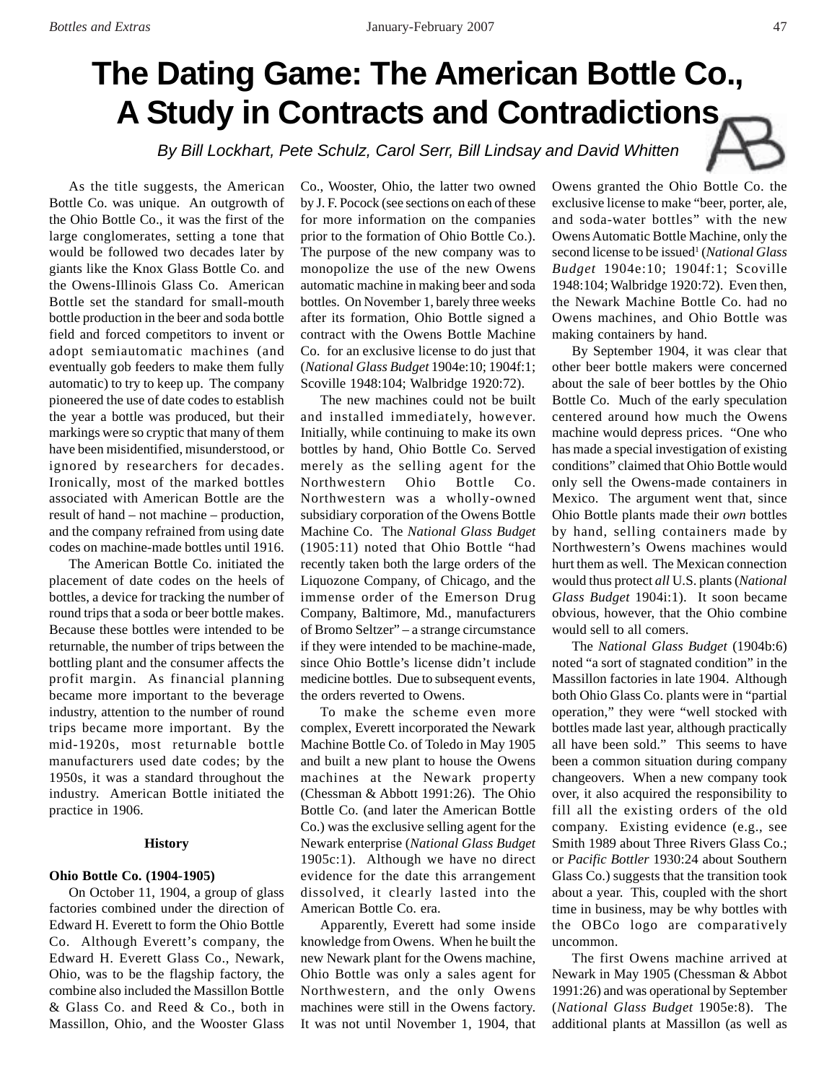# **The Dating Game: The American Bottle Co., A Study in Contracts and Contradictions**

By Bill Lockhart, Pete Schulz, Carol Serr, Bill Lindsay and David Whitten

As the title suggests, the American Bottle Co. was unique. An outgrowth of the Ohio Bottle Co., it was the first of the large conglomerates, setting a tone that would be followed two decades later by giants like the Knox Glass Bottle Co. and the Owens-Illinois Glass Co. American Bottle set the standard for small-mouth bottle production in the beer and soda bottle field and forced competitors to invent or adopt semiautomatic machines (and eventually gob feeders to make them fully automatic) to try to keep up. The company pioneered the use of date codes to establish the year a bottle was produced, but their markings were so cryptic that many of them have been misidentified, misunderstood, or ignored by researchers for decades. Ironically, most of the marked bottles associated with American Bottle are the result of hand – not machine – production, and the company refrained from using date codes on machine-made bottles until 1916.

The American Bottle Co. initiated the placement of date codes on the heels of bottles, a device for tracking the number of round trips that a soda or beer bottle makes. Because these bottles were intended to be returnable, the number of trips between the bottling plant and the consumer affects the profit margin. As financial planning became more important to the beverage industry, attention to the number of round trips became more important. By the mid-1920s, most returnable bottle manufacturers used date codes; by the 1950s, it was a standard throughout the industry. American Bottle initiated the practice in 1906.

# **History**

# **Ohio Bottle Co. (1904-1905)**

On October 11, 1904, a group of glass factories combined under the direction of Edward H. Everett to form the Ohio Bottle Co. Although Everett's company, the Edward H. Everett Glass Co., Newark, Ohio, was to be the flagship factory, the combine also included the Massillon Bottle & Glass Co. and Reed & Co., both in Massillon, Ohio, and the Wooster Glass

Co., Wooster, Ohio, the latter two owned by J. F. Pocock (see sections on each of these for more information on the companies prior to the formation of Ohio Bottle Co.). The purpose of the new company was to monopolize the use of the new Owens automatic machine in making beer and soda bottles. On November 1, barely three weeks after its formation, Ohio Bottle signed a contract with the Owens Bottle Machine Co. for an exclusive license to do just that (*National Glass Budget* 1904e:10; 1904f:1; Scoville 1948:104; Walbridge 1920:72).

The new machines could not be built and installed immediately, however. Initially, while continuing to make its own bottles by hand, Ohio Bottle Co. Served merely as the selling agent for the Northwestern Ohio Bottle Co. Northwestern was a wholly-owned subsidiary corporation of the Owens Bottle Machine Co. The *National Glass Budget* (1905:11) noted that Ohio Bottle "had recently taken both the large orders of the Liquozone Company, of Chicago, and the immense order of the Emerson Drug Company, Baltimore, Md., manufacturers of Bromo Seltzer" – a strange circumstance if they were intended to be machine-made, since Ohio Bottle's license didn't include medicine bottles. Due to subsequent events, the orders reverted to Owens.

To make the scheme even more complex, Everett incorporated the Newark Machine Bottle Co. of Toledo in May 1905 and built a new plant to house the Owens machines at the Newark property (Chessman & Abbott 1991:26). The Ohio Bottle Co. (and later the American Bottle Co.) was the exclusive selling agent for the Newark enterprise (*National Glass Budget* 1905c:1). Although we have no direct evidence for the date this arrangement dissolved, it clearly lasted into the American Bottle Co. era.

Apparently, Everett had some inside knowledge from Owens. When he built the new Newark plant for the Owens machine, Ohio Bottle was only a sales agent for Northwestern, and the only Owens machines were still in the Owens factory. It was not until November 1, 1904, that Owens granted the Ohio Bottle Co. the exclusive license to make "beer, porter, ale, and soda-water bottles" with the new Owens Automatic Bottle Machine, only the second license to be issued<sup>1</sup> (*National Glass Budget* 1904e:10; 1904f:1; Scoville 1948:104; Walbridge 1920:72). Even then, the Newark Machine Bottle Co. had no Owens machines, and Ohio Bottle was making containers by hand.

By September 1904, it was clear that other beer bottle makers were concerned about the sale of beer bottles by the Ohio Bottle Co. Much of the early speculation centered around how much the Owens machine would depress prices. "One who has made a special investigation of existing conditions" claimed that Ohio Bottle would only sell the Owens-made containers in Mexico. The argument went that, since Ohio Bottle plants made their *own* bottles by hand, selling containers made by Northwestern's Owens machines would hurt them as well. The Mexican connection would thus protect *all* U.S. plants (*National Glass Budget* 1904i:1). It soon became obvious, however, that the Ohio combine would sell to all comers.

The *National Glass Budget* (1904b:6) noted "a sort of stagnated condition" in the Massillon factories in late 1904. Although both Ohio Glass Co. plants were in "partial operation," they were "well stocked with bottles made last year, although practically all have been sold." This seems to have been a common situation during company changeovers. When a new company took over, it also acquired the responsibility to fill all the existing orders of the old company. Existing evidence (e.g., see Smith 1989 about Three Rivers Glass Co.; or *Pacific Bottler* 1930:24 about Southern Glass Co.) suggests that the transition took about a year. This, coupled with the short time in business, may be why bottles with the OBCo logo are comparatively uncommon.

The first Owens machine arrived at Newark in May 1905 (Chessman & Abbot 1991:26) and was operational by September (*National Glass Budget* 1905e:8). The additional plants at Massillon (as well as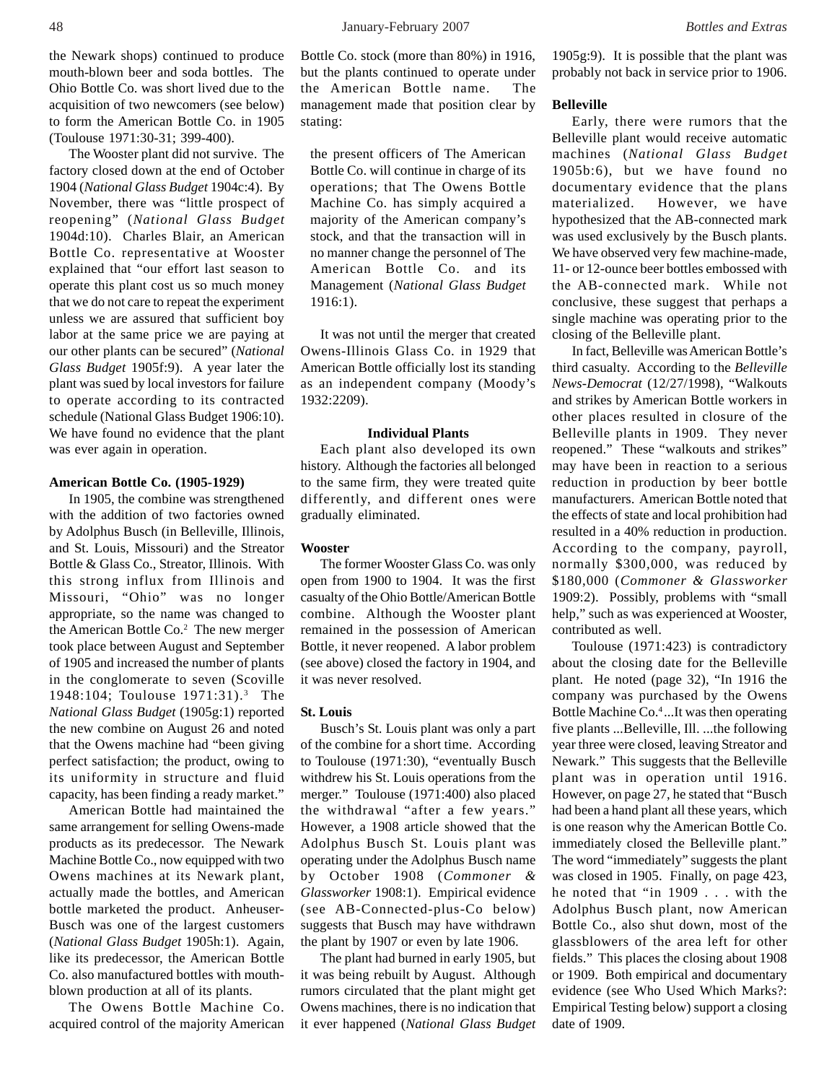the Newark shops) continued to produce mouth-blown beer and soda bottles. The Ohio Bottle Co. was short lived due to the acquisition of two newcomers (see below) to form the American Bottle Co. in 1905 (Toulouse 1971:30-31; 399-400).

The Wooster plant did not survive. The factory closed down at the end of October 1904 (*National Glass Budget* 1904c:4). By November, there was "little prospect of reopening" (*National Glass Budget* 1904d:10). Charles Blair, an American Bottle Co. representative at Wooster explained that "our effort last season to operate this plant cost us so much money that we do not care to repeat the experiment unless we are assured that sufficient boy labor at the same price we are paying at our other plants can be secured" (*National Glass Budget* 1905f:9). A year later the plant was sued by local investors for failure to operate according to its contracted schedule (National Glass Budget 1906:10). We have found no evidence that the plant was ever again in operation.

# **American Bottle Co. (1905-1929)**

In 1905, the combine was strengthened with the addition of two factories owned by Adolphus Busch (in Belleville, Illinois, and St. Louis, Missouri) and the Streator Bottle & Glass Co., Streator, Illinois. With this strong influx from Illinois and Missouri, "Ohio" was no longer appropriate, so the name was changed to the American Bottle Co.<sup>2</sup> The new merger took place between August and September of 1905 and increased the number of plants in the conglomerate to seven (Scoville 1948:104; Toulouse 1971:31).<sup>3</sup> The *National Glass Budget* (1905g:1) reported the new combine on August 26 and noted that the Owens machine had "been giving perfect satisfaction; the product, owing to its uniformity in structure and fluid capacity, has been finding a ready market."

American Bottle had maintained the same arrangement for selling Owens-made products as its predecessor. The Newark Machine Bottle Co., now equipped with two Owens machines at its Newark plant, actually made the bottles, and American bottle marketed the product. Anheuser-Busch was one of the largest customers (*National Glass Budget* 1905h:1). Again, like its predecessor, the American Bottle Co. also manufactured bottles with mouthblown production at all of its plants.

The Owens Bottle Machine Co. acquired control of the majority American Bottle Co. stock (more than 80%) in 1916, but the plants continued to operate under the American Bottle name. The management made that position clear by stating:

the present officers of The American Bottle Co. will continue in charge of its operations; that The Owens Bottle Machine Co. has simply acquired a majority of the American company's stock, and that the transaction will in no manner change the personnel of The American Bottle Co. and its Management (*National Glass Budget* 1916:1).

It was not until the merger that created Owens-Illinois Glass Co. in 1929 that American Bottle officially lost its standing as an independent company (Moody's 1932:2209).

# **Individual Plants**

Each plant also developed its own history. Although the factories all belonged to the same firm, they were treated quite differently, and different ones were gradually eliminated.

#### **Wooster**

The former Wooster Glass Co. was only open from 1900 to 1904. It was the first casualty of the Ohio Bottle/American Bottle combine. Although the Wooster plant remained in the possession of American Bottle, it never reopened. A labor problem (see above) closed the factory in 1904, and it was never resolved.

# **St. Louis**

Busch's St. Louis plant was only a part of the combine for a short time. According to Toulouse (1971:30), "eventually Busch withdrew his St. Louis operations from the merger." Toulouse (1971:400) also placed the withdrawal "after a few years." However, a 1908 article showed that the Adolphus Busch St. Louis plant was operating under the Adolphus Busch name by October 1908 (*Commoner & Glassworker* 1908:1). Empirical evidence (see AB-Connected-plus-Co below) suggests that Busch may have withdrawn the plant by 1907 or even by late 1906.

The plant had burned in early 1905, but it was being rebuilt by August. Although rumors circulated that the plant might get Owens machines, there is no indication that it ever happened (*National Glass Budget* 1905g:9). It is possible that the plant was probably not back in service prior to 1906.

# **Belleville**

Early, there were rumors that the Belleville plant would receive automatic machines (*National Glass Budget* 1905b:6), but we have found no documentary evidence that the plans materialized. However, we have hypothesized that the AB-connected mark was used exclusively by the Busch plants. We have observed very few machine-made, 11- or 12-ounce beer bottles embossed with the AB-connected mark. While not conclusive, these suggest that perhaps a single machine was operating prior to the closing of the Belleville plant.

In fact, Belleville was American Bottle's third casualty. According to the *Belleville News-Democrat* (12/27/1998), "Walkouts and strikes by American Bottle workers in other places resulted in closure of the Belleville plants in 1909. They never reopened." These "walkouts and strikes" may have been in reaction to a serious reduction in production by beer bottle manufacturers. American Bottle noted that the effects of state and local prohibition had resulted in a 40% reduction in production. According to the company, payroll, normally \$300,000, was reduced by \$180,000 (*Commoner & Glassworker* 1909:2). Possibly, problems with "small help," such as was experienced at Wooster, contributed as well.

Toulouse (1971:423) is contradictory about the closing date for the Belleville plant. He noted (page 32), "In 1916 the company was purchased by the Owens Bottle Machine Co.4 ...It was then operating five plants ...Belleville, Ill. ...the following year three were closed, leaving Streator and Newark." This suggests that the Belleville plant was in operation until 1916. However, on page 27, he stated that "Busch had been a hand plant all these years, which is one reason why the American Bottle Co. immediately closed the Belleville plant." The word "immediately" suggests the plant was closed in 1905. Finally, on page 423, he noted that "in 1909 . . . with the Adolphus Busch plant, now American Bottle Co., also shut down, most of the glassblowers of the area left for other fields." This places the closing about 1908 or 1909. Both empirical and documentary evidence (see Who Used Which Marks?: Empirical Testing below) support a closing date of 1909.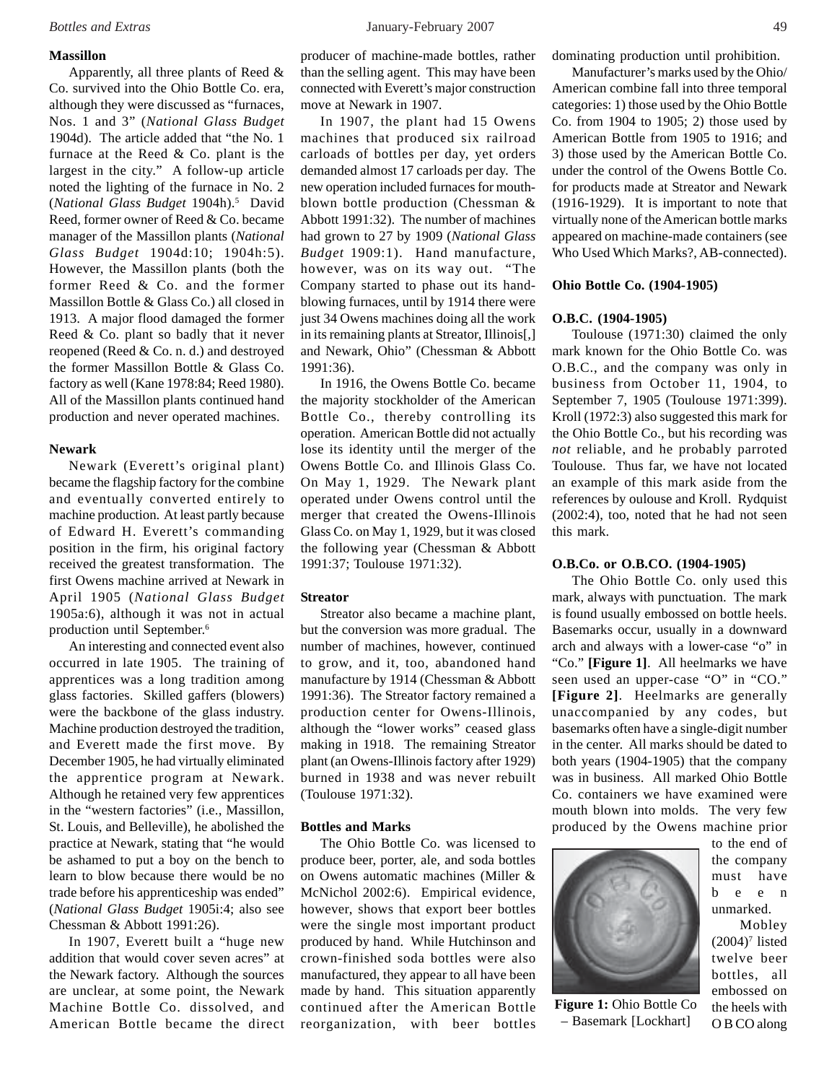# **Massillon**

Apparently, all three plants of Reed & Co. survived into the Ohio Bottle Co. era, although they were discussed as "furnaces, Nos. 1 and 3" (*National Glass Budget* 1904d). The article added that "the No. 1 furnace at the Reed & Co. plant is the largest in the city." A follow-up article noted the lighting of the furnace in No. 2 (*National Glass Budget* 1904h).5 David Reed, former owner of Reed & Co. became manager of the Massillon plants (*National Glass Budget* 1904d:10; 1904h:5). However, the Massillon plants (both the former Reed & Co. and the former Massillon Bottle & Glass Co.) all closed in 1913. A major flood damaged the former Reed & Co. plant so badly that it never reopened (Reed & Co. n. d.) and destroyed the former Massillon Bottle & Glass Co. factory as well (Kane 1978:84; Reed 1980). All of the Massillon plants continued hand production and never operated machines.

# **Newark**

Newark (Everett's original plant) became the flagship factory for the combine and eventually converted entirely to machine production. At least partly because of Edward H. Everett's commanding position in the firm, his original factory received the greatest transformation. The first Owens machine arrived at Newark in April 1905 (*National Glass Budget* 1905a:6), although it was not in actual production until September.6

An interesting and connected event also occurred in late 1905. The training of apprentices was a long tradition among glass factories. Skilled gaffers (blowers) were the backbone of the glass industry. Machine production destroyed the tradition, and Everett made the first move. By December 1905, he had virtually eliminated the apprentice program at Newark. Although he retained very few apprentices in the "western factories" (i.e., Massillon, St. Louis, and Belleville), he abolished the practice at Newark, stating that "he would be ashamed to put a boy on the bench to learn to blow because there would be no trade before his apprenticeship was ended" (*National Glass Budget* 1905i:4; also see Chessman & Abbott 1991:26).

In 1907, Everett built a "huge new addition that would cover seven acres" at the Newark factory. Although the sources are unclear, at some point, the Newark Machine Bottle Co. dissolved, and American Bottle became the direct producer of machine-made bottles, rather than the selling agent. This may have been connected with Everett's major construction move at Newark in 1907.

In 1907, the plant had 15 Owens machines that produced six railroad carloads of bottles per day, yet orders demanded almost 17 carloads per day. The new operation included furnaces for mouthblown bottle production (Chessman & Abbott 1991:32). The number of machines had grown to 27 by 1909 (*National Glass Budget* 1909:1). Hand manufacture, however, was on its way out. "The Company started to phase out its handblowing furnaces, until by 1914 there were just 34 Owens machines doing all the work in its remaining plants at Streator, Illinois[,] and Newark, Ohio" (Chessman & Abbott 1991:36).

In 1916, the Owens Bottle Co. became the majority stockholder of the American Bottle Co., thereby controlling its operation. American Bottle did not actually lose its identity until the merger of the Owens Bottle Co. and Illinois Glass Co. On May 1, 1929. The Newark plant operated under Owens control until the merger that created the Owens-Illinois Glass Co. on May 1, 1929, but it was closed the following year (Chessman & Abbott 1991:37; Toulouse 1971:32).

# **Streator**

Streator also became a machine plant, but the conversion was more gradual. The number of machines, however, continued to grow, and it, too, abandoned hand manufacture by 1914 (Chessman & Abbott 1991:36). The Streator factory remained a production center for Owens-Illinois, although the "lower works" ceased glass making in 1918. The remaining Streator plant (an Owens-Illinois factory after 1929) burned in 1938 and was never rebuilt (Toulouse 1971:32).

# **Bottles and Marks**

The Ohio Bottle Co. was licensed to produce beer, porter, ale, and soda bottles on Owens automatic machines (Miller & McNichol 2002:6). Empirical evidence, however, shows that export beer bottles were the single most important product produced by hand. While Hutchinson and crown-finished soda bottles were also manufactured, they appear to all have been made by hand. This situation apparently continued after the American Bottle reorganization, with beer bottles dominating production until prohibition.

Manufacturer's marks used by the Ohio/ American combine fall into three temporal categories: 1) those used by the Ohio Bottle Co. from 1904 to 1905; 2) those used by American Bottle from 1905 to 1916; and 3) those used by the American Bottle Co. under the control of the Owens Bottle Co. for products made at Streator and Newark (1916-1929). It is important to note that virtually none of the American bottle marks appeared on machine-made containers (see Who Used Which Marks?, AB-connected).

# **Ohio Bottle Co. (1904-1905)**

# **O.B.C. (1904-1905)**

Toulouse (1971:30) claimed the only mark known for the Ohio Bottle Co. was O.B.C., and the company was only in business from October 11, 1904, to September 7, 1905 (Toulouse 1971:399). Kroll (1972:3) also suggested this mark for the Ohio Bottle Co., but his recording was *not* reliable, and he probably parroted Toulouse. Thus far, we have not located an example of this mark aside from the references by oulouse and Kroll. Rydquist (2002:4), too, noted that he had not seen this mark.

# **O.B.Co. or O.B.CO. (1904-1905)**

The Ohio Bottle Co. only used this mark, always with punctuation. The mark is found usually embossed on bottle heels. Basemarks occur, usually in a downward arch and always with a lower-case "o" in "Co." **[Figure 1]**. All heelmarks we have seen used an upper-case "O" in "CO." **[Figure 2]**. Heelmarks are generally unaccompanied by any codes, but basemarks often have a single-digit number in the center. All marks should be dated to both years (1904-1905) that the company was in business. All marked Ohio Bottle Co. containers we have examined were mouth blown into molds. The very few produced by the Owens machine prior



**Figure 1:** Ohio Bottle Co – Basemark [Lockhart]

to the end of the company must have been unmarked.

 Mobley  $(2004)^7$  listed twelve beer bottles, all embossed on the heels with O B CO along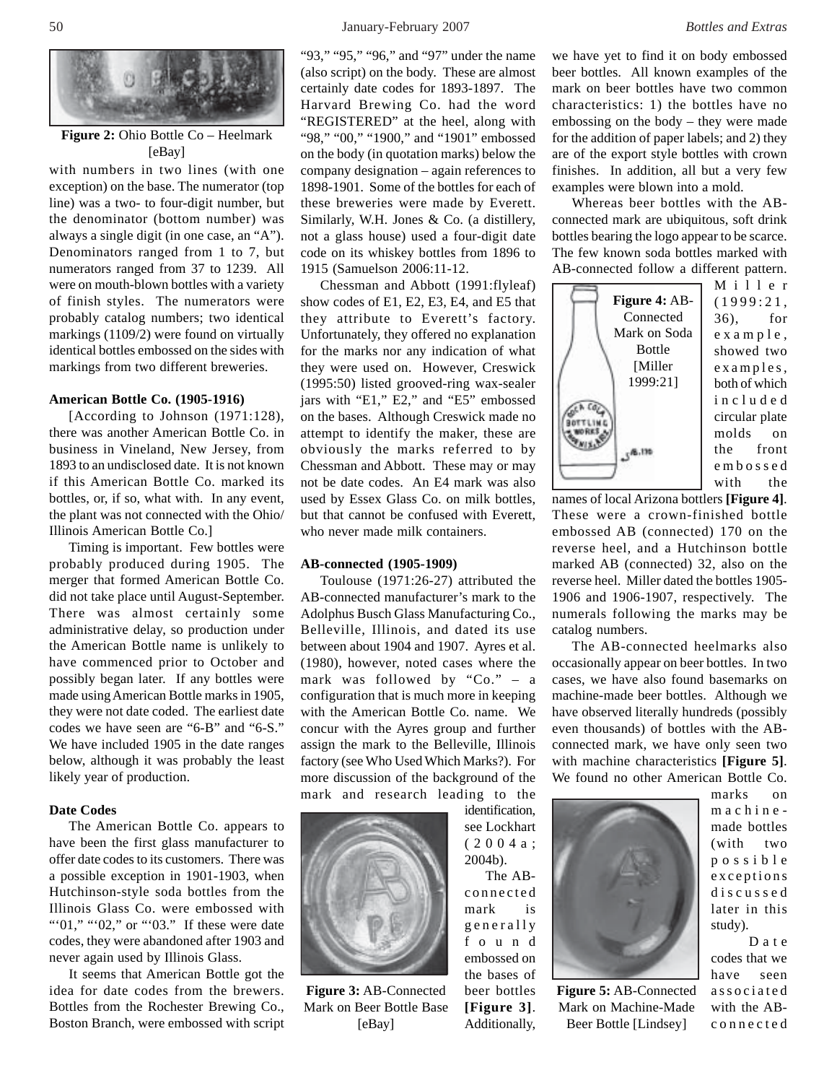

**Figure 2:** Ohio Bottle Co – Heelmark [eBay]

with numbers in two lines (with one exception) on the base. The numerator (top line) was a two- to four-digit number, but the denominator (bottom number) was always a single digit (in one case, an "A"). Denominators ranged from 1 to 7, but numerators ranged from 37 to 1239. All were on mouth-blown bottles with a variety of finish styles. The numerators were probably catalog numbers; two identical markings (1109/2) were found on virtually identical bottles embossed on the sides with markings from two different breweries.

#### **American Bottle Co. (1905-1916)**

[According to Johnson (1971:128), there was another American Bottle Co. in business in Vineland, New Jersey, from 1893 to an undisclosed date. It is not known if this American Bottle Co. marked its bottles, or, if so, what with. In any event, the plant was not connected with the Ohio/ Illinois American Bottle Co.]

Timing is important. Few bottles were probably produced during 1905. The merger that formed American Bottle Co. did not take place until August-September. There was almost certainly some administrative delay, so production under the American Bottle name is unlikely to have commenced prior to October and possibly began later. If any bottles were made using American Bottle marks in 1905, they were not date coded. The earliest date codes we have seen are "6-B" and "6-S." We have included 1905 in the date ranges below, although it was probably the least likely year of production.

# **Date Codes**

The American Bottle Co. appears to have been the first glass manufacturer to offer date codes to its customers. There was a possible exception in 1901-1903, when Hutchinson-style soda bottles from the Illinois Glass Co. were embossed with "'01," "'02," or "'03." If these were date codes, they were abandoned after 1903 and never again used by Illinois Glass.

It seems that American Bottle got the idea for date codes from the brewers. Bottles from the Rochester Brewing Co., Boston Branch, were embossed with script

"93," "95," "96," and "97" under the name (also script) on the body. These are almost certainly date codes for 1893-1897. The Harvard Brewing Co. had the word "REGISTERED" at the heel, along with "98," "00," "1900," and "1901" embossed on the body (in quotation marks) below the company designation – again references to 1898-1901. Some of the bottles for each of these breweries were made by Everett. Similarly, W.H. Jones & Co. (a distillery, not a glass house) used a four-digit date code on its whiskey bottles from 1896 to 1915 (Samuelson 2006:11-12.

Chessman and Abbott (1991:flyleaf) show codes of E1, E2, E3, E4, and E5 that they attribute to Everett's factory. Unfortunately, they offered no explanation for the marks nor any indication of what they were used on. However, Creswick (1995:50) listed grooved-ring wax-sealer jars with "E1," E2," and "E5" embossed on the bases. Although Creswick made no attempt to identify the maker, these are obviously the marks referred to by Chessman and Abbott. These may or may not be date codes. An E4 mark was also used by Essex Glass Co. on milk bottles, but that cannot be confused with Everett, who never made milk containers.

# **AB-connected (1905-1909)**

Toulouse (1971:26-27) attributed the AB-connected manufacturer's mark to the Adolphus Busch Glass Manufacturing Co., Belleville, Illinois, and dated its use between about 1904 and 1907. Ayres et al. (1980), however, noted cases where the mark was followed by "Co." – a configuration that is much more in keeping with the American Bottle Co. name. We concur with the Ayres group and further assign the mark to the Belleville, Illinois factory (see Who Used Which Marks?). For more discussion of the background of the mark and research leading to the identification,

> see Lockhart (2004a; 2004b).

 The ABconnected mark is generally f o u n d embossed on the bases of beer bottles **[Figure 3]**. Additionally,



**Figure 3:** AB-Connected Mark on Beer Bottle Base [eBay]

we have yet to find it on body embossed beer bottles. All known examples of the mark on beer bottles have two common characteristics: 1) the bottles have no embossing on the body – they were made for the addition of paper labels; and 2) they are of the export style bottles with crown finishes. In addition, all but a very few examples were blown into a mold.

Whereas beer bottles with the ABconnected mark are ubiquitous, soft drink bottles bearing the logo appear to be scarce. The few known soda bottles marked with AB-connected follow a different pattern.



(1999:21, 36), for example, showed two examples, both of which included circular plate molds on the front embossed with the

names of local Arizona bottlers **[Figure 4]**. These were a crown-finished bottle embossed AB (connected) 170 on the reverse heel, and a Hutchinson bottle marked AB (connected) 32, also on the reverse heel. Miller dated the bottles 1905- 1906 and 1906-1907, respectively. The numerals following the marks may be catalog numbers.

The AB-connected heelmarks also occasionally appear on beer bottles. In two cases, we have also found basemarks on machine-made beer bottles. Although we have observed literally hundreds (possibly even thousands) of bottles with the ABconnected mark, we have only seen two with machine characteristics **[Figure 5]**. We found no other American Bottle Co.



**Figure 5:** AB-Connected Mark on Machine-Made Beer Bottle [Lindsey]

marks on machinemade bottles (with two possible exceptions discussed later in this study). Date

codes that we have seen associated with the ABconnected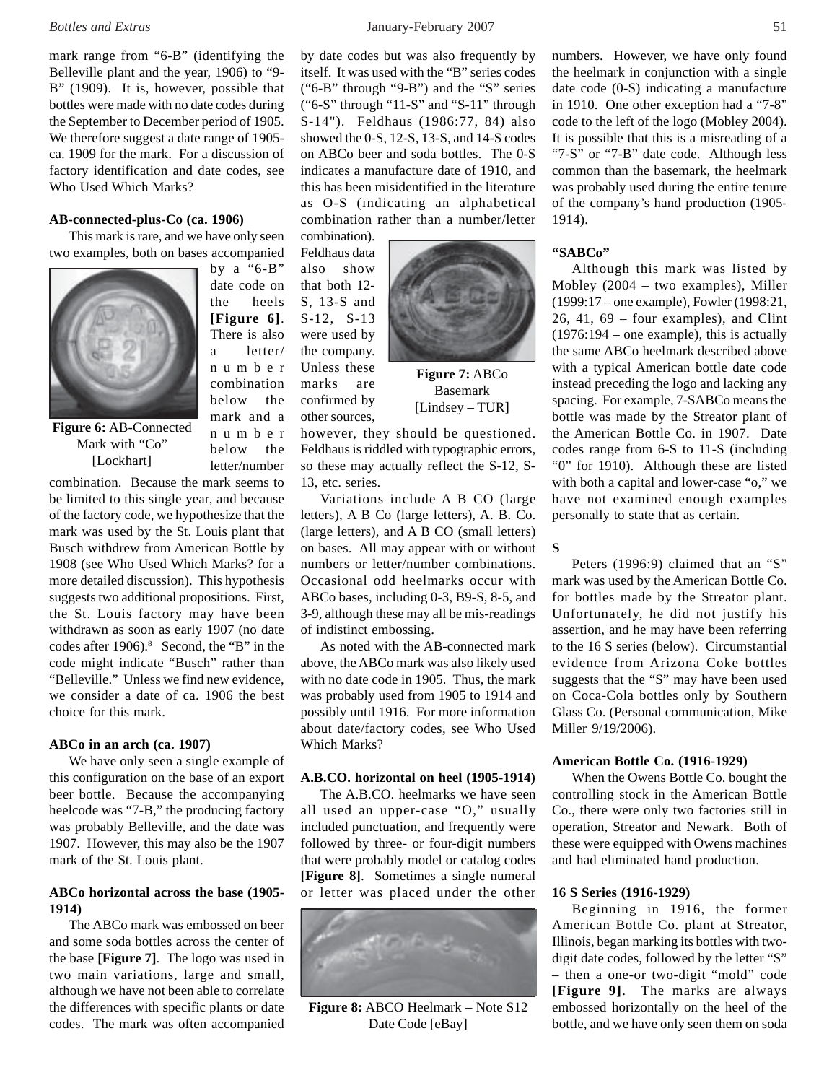mark range from "6-B" (identifying the Belleville plant and the year, 1906) to "9- B" (1909). It is, however, possible that bottles were made with no date codes during the September to December period of 1905. We therefore suggest a date range of 1905 ca. 1909 for the mark. For a discussion of factory identification and date codes, see Who Used Which Marks?

#### **AB-connected-plus-Co (ca. 1906)**

This mark is rare, and we have only seen two examples, both on bases accompanied

> by a "6-B" date code on the heels **[Figure 6]**. There is also a letter/ number combination below the mark and a number below the letter/number



**Figure 6:** AB-Connected Mark with "Co" [Lockhart]

combination. Because the mark seems to be limited to this single year, and because of the factory code, we hypothesize that the mark was used by the St. Louis plant that Busch withdrew from American Bottle by 1908 (see Who Used Which Marks? for a more detailed discussion). This hypothesis suggests two additional propositions. First, the St. Louis factory may have been withdrawn as soon as early 1907 (no date codes after 1906).<sup>8</sup> Second, the "B" in the code might indicate "Busch" rather than "Belleville." Unless we find new evidence, we consider a date of ca. 1906 the best choice for this mark.

# **ABCo in an arch (ca. 1907)**

We have only seen a single example of this configuration on the base of an export beer bottle. Because the accompanying heelcode was "7-B," the producing factory was probably Belleville, and the date was 1907. However, this may also be the 1907 mark of the St. Louis plant.

# **ABCo horizontal across the base (1905- 1914)**

The ABCo mark was embossed on beer and some soda bottles across the center of the base **[Figure 7]**. The logo was used in two main variations, large and small, although we have not been able to correlate the differences with specific plants or date codes. The mark was often accompanied

*Bottles and Extras* January-February 2007 51

by date codes but was also frequently by itself. It was used with the "B" series codes ("6-B" through "9-B") and the "S" series ("6-S" through "11-S" and "S-11" through S-14"). Feldhaus (1986:77, 84) also showed the 0-S, 12-S, 13-S, and 14-S codes on ABCo beer and soda bottles. The 0-S indicates a manufacture date of 1910, and this has been misidentified in the literature as O-S (indicating an alphabetical combination rather than a number/letter

combination). Feldhaus data also show that both 12- S, 13-S and S-12, S-13 were used by the company. Unless these marks are confirmed by other sources,



**Figure 7:** ABCo Basemark [Lindsey – TUR]

however, they should be questioned. Feldhaus is riddled with typographic errors, so these may actually reflect the S-12, S-13, etc. series.

Variations include A B CO (large letters), A B Co (large letters), A. B. Co. (large letters), and A B CO (small letters) on bases. All may appear with or without numbers or letter/number combinations. Occasional odd heelmarks occur with ABCo bases, including 0-3, B9-S, 8-5, and 3-9, although these may all be mis-readings of indistinct embossing.

As noted with the AB-connected mark above, the ABCo mark was also likely used with no date code in 1905. Thus, the mark was probably used from 1905 to 1914 and possibly until 1916. For more information about date/factory codes, see Who Used Which Marks?

#### **A.B.CO. horizontal on heel (1905-1914)**

The A.B.CO. heelmarks we have seen all used an upper-case "O," usually included punctuation, and frequently were followed by three- or four-digit numbers that were probably model or catalog codes **[Figure 8]**. Sometimes a single numeral or letter was placed under the other



**Figure 8:** ABCO Heelmark – Note S12 Date Code [eBay]

numbers. However, we have only found the heelmark in conjunction with a single date code (0-S) indicating a manufacture in 1910. One other exception had a "7-8" code to the left of the logo (Mobley 2004). It is possible that this is a misreading of a "7-S" or "7-B" date code. Although less common than the basemark, the heelmark was probably used during the entire tenure of the company's hand production (1905- 1914).

# **"SABCo"**

Although this mark was listed by Mobley (2004 – two examples), Miller (1999:17 – one example), Fowler (1998:21, 26, 41, 69 – four examples), and Clint (1976:194 – one example), this is actually the same ABCo heelmark described above with a typical American bottle date code instead preceding the logo and lacking any spacing. For example, 7-SABCo means the bottle was made by the Streator plant of the American Bottle Co. in 1907. Date codes range from 6-S to 11-S (including "0" for 1910). Although these are listed with both a capital and lower-case "o," we have not examined enough examples personally to state that as certain.

# **S**

Peters (1996:9) claimed that an "S" mark was used by the American Bottle Co. for bottles made by the Streator plant. Unfortunately, he did not justify his assertion, and he may have been referring to the 16 S series (below). Circumstantial evidence from Arizona Coke bottles suggests that the "S" may have been used on Coca-Cola bottles only by Southern Glass Co. (Personal communication, Mike Miller 9/19/2006).

#### **American Bottle Co. (1916-1929)**

When the Owens Bottle Co. bought the controlling stock in the American Bottle Co., there were only two factories still in operation, Streator and Newark. Both of these were equipped with Owens machines and had eliminated hand production.

# **16 S Series (1916-1929)**

Beginning in 1916, the former American Bottle Co. plant at Streator, Illinois, began marking its bottles with twodigit date codes, followed by the letter "S" – then a one-or two-digit "mold" code **[Figure 9]**. The marks are always embossed horizontally on the heel of the bottle, and we have only seen them on soda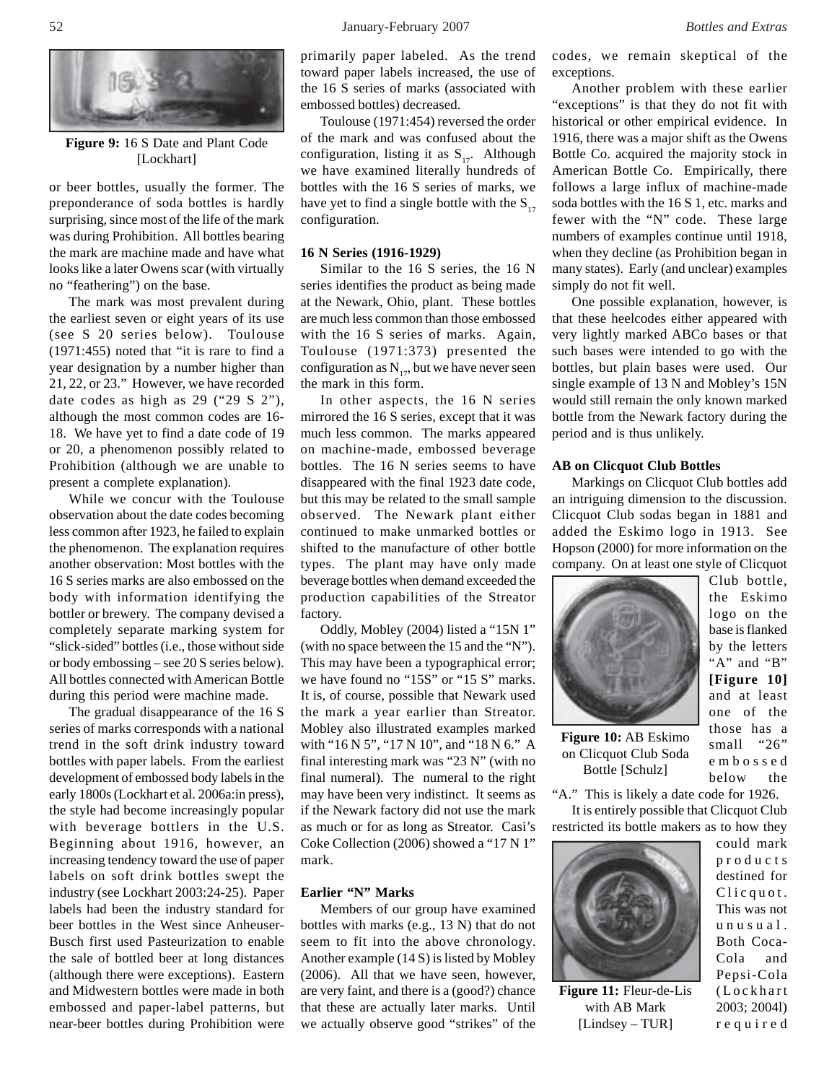

**Figure 9:** 16 S Date and Plant Code [Lockhart]

or beer bottles, usually the former. The preponderance of soda bottles is hardly surprising, since most of the life of the mark was during Prohibition. All bottles bearing the mark are machine made and have what looks like a later Owens scar (with virtually no "feathering") on the base.

The mark was most prevalent during the earliest seven or eight years of its use (see S 20 series below). Toulouse (1971:455) noted that "it is rare to find a year designation by a number higher than 21, 22, or 23." However, we have recorded date codes as high as 29 ("29 S 2"), although the most common codes are 16- 18. We have yet to find a date code of 19 or 20, a phenomenon possibly related to Prohibition (although we are unable to present a complete explanation).

While we concur with the Toulouse observation about the date codes becoming less common after 1923, he failed to explain the phenomenon. The explanation requires another observation: Most bottles with the 16 S series marks are also embossed on the body with information identifying the bottler or brewery. The company devised a completely separate marking system for "slick-sided" bottles (i.e., those without side or body embossing – see 20 S series below). All bottles connected with American Bottle during this period were machine made.

The gradual disappearance of the 16 S series of marks corresponds with a national trend in the soft drink industry toward bottles with paper labels. From the earliest development of embossed body labels in the early 1800s (Lockhart et al. 2006a:in press), the style had become increasingly popular with beverage bottlers in the U.S. Beginning about 1916, however, an increasing tendency toward the use of paper labels on soft drink bottles swept the industry (see Lockhart 2003:24-25). Paper labels had been the industry standard for beer bottles in the West since Anheuser-Busch first used Pasteurization to enable the sale of bottled beer at long distances (although there were exceptions). Eastern and Midwestern bottles were made in both embossed and paper-label patterns, but near-beer bottles during Prohibition were

primarily paper labeled. As the trend toward paper labels increased, the use of the 16 S series of marks (associated with embossed bottles) decreased.

Toulouse (1971:454) reversed the order of the mark and was confused about the configuration, listing it as  $S_{17}$ . Although we have examined literally hundreds of bottles with the 16 S series of marks, we have yet to find a single bottle with the  $S_{17}$ configuration.

# **16 N Series (1916-1929)**

Similar to the 16 S series, the 16 N series identifies the product as being made at the Newark, Ohio, plant. These bottles are much less common than those embossed with the 16 S series of marks. Again, Toulouse (1971:373) presented the configuration as  $N_{17}$ , but we have never seen the mark in this form.

In other aspects, the 16 N series mirrored the 16 S series, except that it was much less common. The marks appeared on machine-made, embossed beverage bottles. The 16 N series seems to have disappeared with the final 1923 date code, but this may be related to the small sample observed. The Newark plant either continued to make unmarked bottles or shifted to the manufacture of other bottle types. The plant may have only made beverage bottles when demand exceeded the production capabilities of the Streator factory.

Oddly, Mobley (2004) listed a "15N 1" (with no space between the 15 and the "N"). This may have been a typographical error; we have found no "15S" or "15 S" marks. It is, of course, possible that Newark used the mark a year earlier than Streator. Mobley also illustrated examples marked with "16 N 5", "17 N 10", and "18 N 6." A final interesting mark was "23 N" (with no final numeral). The numeral to the right may have been very indistinct. It seems as if the Newark factory did not use the mark as much or for as long as Streator. Casi's Coke Collection (2006) showed a "17 N 1" mark.

#### **Earlier "N" Marks**

Members of our group have examined bottles with marks (e.g., 13 N) that do not seem to fit into the above chronology. Another example (14 S) is listed by Mobley (2006). All that we have seen, however, are very faint, and there is a (good?) chance that these are actually later marks. Until we actually observe good "strikes" of the codes, we remain skeptical of the exceptions.

Another problem with these earlier "exceptions" is that they do not fit with historical or other empirical evidence. In 1916, there was a major shift as the Owens Bottle Co. acquired the majority stock in American Bottle Co. Empirically, there follows a large influx of machine-made soda bottles with the 16 S 1, etc. marks and fewer with the "N" code. These large numbers of examples continue until 1918, when they decline (as Prohibition began in many states). Early (and unclear) examples simply do not fit well.

One possible explanation, however, is that these heelcodes either appeared with very lightly marked ABCo bases or that such bases were intended to go with the bottles, but plain bases were used. Our single example of 13 N and Mobley's 15N would still remain the only known marked bottle from the Newark factory during the period and is thus unlikely.

# **AB on Clicquot Club Bottles**

Markings on Clicquot Club bottles add an intriguing dimension to the discussion. Clicquot Club sodas began in 1881 and added the Eskimo logo in 1913. See Hopson (2000) for more information on the company. On at least one style of Clicquot



**Figure 10:** AB Eskimo on Clicquot Club Soda Bottle [Schulz]

Club bottle, the Eskimo logo on the base is flanked by the letters "A" and "B" **[Figure 10]** and at least one of the those has a small "26" embossed below the

"A." This is likely a date code for 1926. It is entirely possible that Clicquot Club

restricted its bottle makers as to how they could mark



**Figure 11:** Fleur-de-Lis with AB Mark [Lindsey – TUR]

destined for Clicquot. This was not unusual. Both Coca-Cola and Pepsi-Cola (Lockhart 2003; 2004l) required

products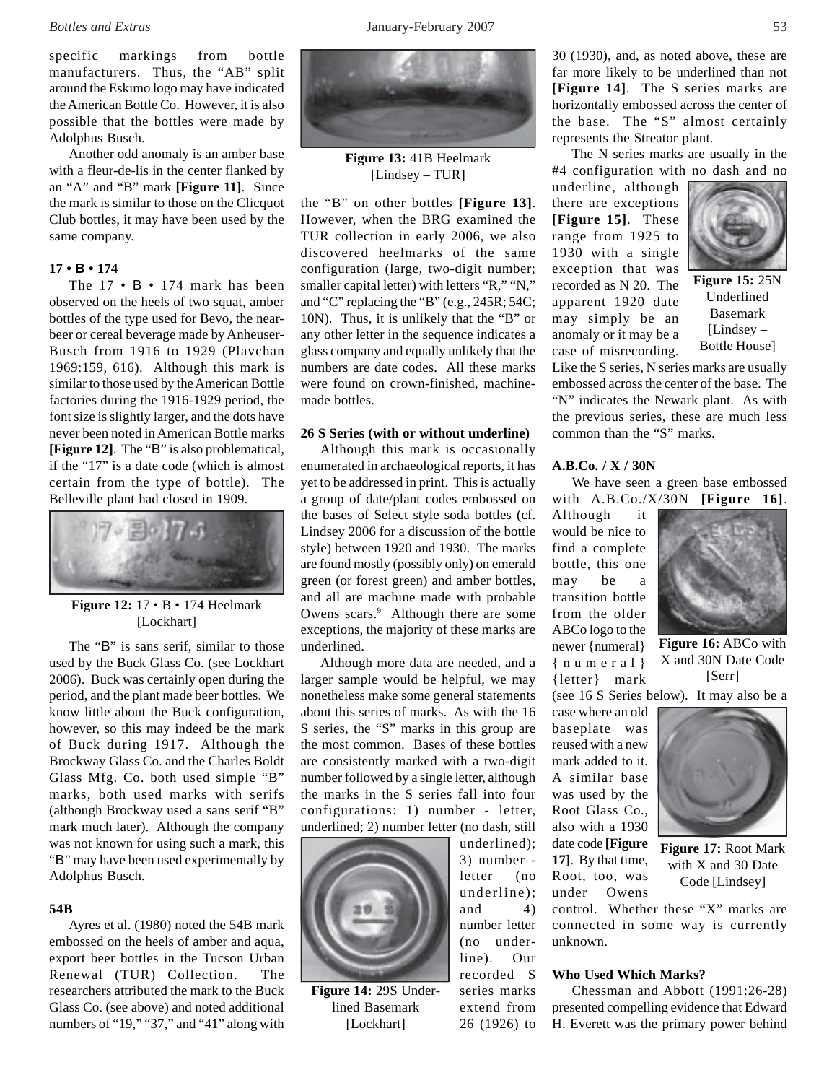specific markings from bottle manufacturers. Thus, the "AB" split around the Eskimo logo may have indicated the American Bottle Co. However, it is also possible that the bottles were made by Adolphus Busch.

Another odd anomaly is an amber base with a fleur-de-lis in the center flanked by an "A" and "B" mark **[Figure 11]**. Since the mark is similar to those on the Clicquot Club bottles, it may have been used by the same company.

# **17 • B • 174**

The 17 • B • 174 mark has been observed on the heels of two squat, amber bottles of the type used for Bevo, the nearbeer or cereal beverage made by Anheuser-Busch from 1916 to 1929 (Plavchan 1969:159, 616). Although this mark is similar to those used by the American Bottle factories during the 1916-1929 period, the font size is slightly larger, and the dots have never been noted in American Bottle marks **[Figure 12]**. The "B" is also problematical, if the "17" is a date code (which is almost certain from the type of bottle). The Belleville plant had closed in 1909.



# **Figure 12:** 17 • B • 174 Heelmark [Lockhart]

The "B" is sans serif, similar to those used by the Buck Glass Co. (see Lockhart 2006). Buck was certainly open during the period, and the plant made beer bottles. We know little about the Buck configuration, however, so this may indeed be the mark of Buck during 1917. Although the Brockway Glass Co. and the Charles Boldt Glass Mfg. Co. both used simple "B" marks, both used marks with serifs (although Brockway used a sans serif "B" mark much later). Although the company was not known for using such a mark, this "B" may have been used experimentally by Adolphus Busch.

#### **54B**

Ayres et al. (1980) noted the 54B mark embossed on the heels of amber and aqua, export beer bottles in the Tucson Urban Renewal (TUR) Collection. The researchers attributed the mark to the Buck Glass Co. (see above) and noted additional numbers of "19," "37," and "41" along with



**Figure 13:** 41B Heelmark [Lindsey – TUR]

the "B" on other bottles **[Figure 13]**. However, when the BRG examined the TUR collection in early 2006, we also discovered heelmarks of the same configuration (large, two-digit number; smaller capital letter) with letters "R," "N," and "C" replacing the "B" (e.g., 245R; 54C; 10N). Thus, it is unlikely that the "B" or any other letter in the sequence indicates a glass company and equally unlikely that the numbers are date codes. All these marks were found on crown-finished, machinemade bottles.

#### **26 S Series (with or without underline)**

Although this mark is occasionally enumerated in archaeological reports, it has yet to be addressed in print. This is actually a group of date/plant codes embossed on the bases of Select style soda bottles (cf. Lindsey 2006 for a discussion of the bottle style) between 1920 and 1930. The marks are found mostly (possibly only) on emerald green (or forest green) and amber bottles, and all are machine made with probable Owens scars.<sup>9</sup> Although there are some exceptions, the majority of these marks are underlined.

Although more data are needed, and a larger sample would be helpful, we may nonetheless make some general statements about this series of marks. As with the 16 S series, the "S" marks in this group are the most common. Bases of these bottles are consistently marked with a two-digit number followed by a single letter, although the marks in the S series fall into four configurations: 1) number - letter, underlined; 2) number letter (no dash, still



**Figure 14:** 29S Underlined Basemark [Lockhart]

underlined); 3) number letter (no underline); and  $4)$ number letter (no underline). Our recorded S series marks extend from 26 (1926) to

30 (1930), and, as noted above, these are far more likely to be underlined than not **[Figure 14]**. The S series marks are horizontally embossed across the center of the base. The "S" almost certainly represents the Streator plant.

The N series marks are usually in the #4 configuration with no dash and no

underline, although there are exceptions **[Figure 15]**. These range from 1925 to 1930 with a single exception that was recorded as N 20. The apparent 1920 date may simply be an anomaly or it may be a case of misrecording.



**Figure 15:** 25N Underlined Basemark [Lindsey – Bottle House]

Like the S series, N series marks are usually embossed across the center of the base. The "N" indicates the Newark plant. As with the previous series, these are much less common than the "S" marks.

# **A.B.Co. / X / 30N**

We have seen a green base embossed with A.B.Co./X/30N **[Figure 16]**.

Although it would be nice to find a complete bottle, this one may be a transition bottle from the older ABCo logo to the newer {numeral} {numeral} {letter} mark (see 16 S Series below). It may also be a

case where an old baseplate was reused with a new mark added to it. A similar base was used by the Root Glass Co., also with a 1930 date code **[Figure 17]**. By that time, Root, too, was under Owens

control. Whether these "X" marks are connected in some way is currently unknown.

#### **Who Used Which Marks?**

Chessman and Abbott (1991:26-28) presented compelling evidence that Edward H. Everett was the primary power behind



**Figure 16:** ABCo with X and 30N Date Code [Serr]





**Figure 17:** Root Mark with X and 30 Date Code [Lindsey]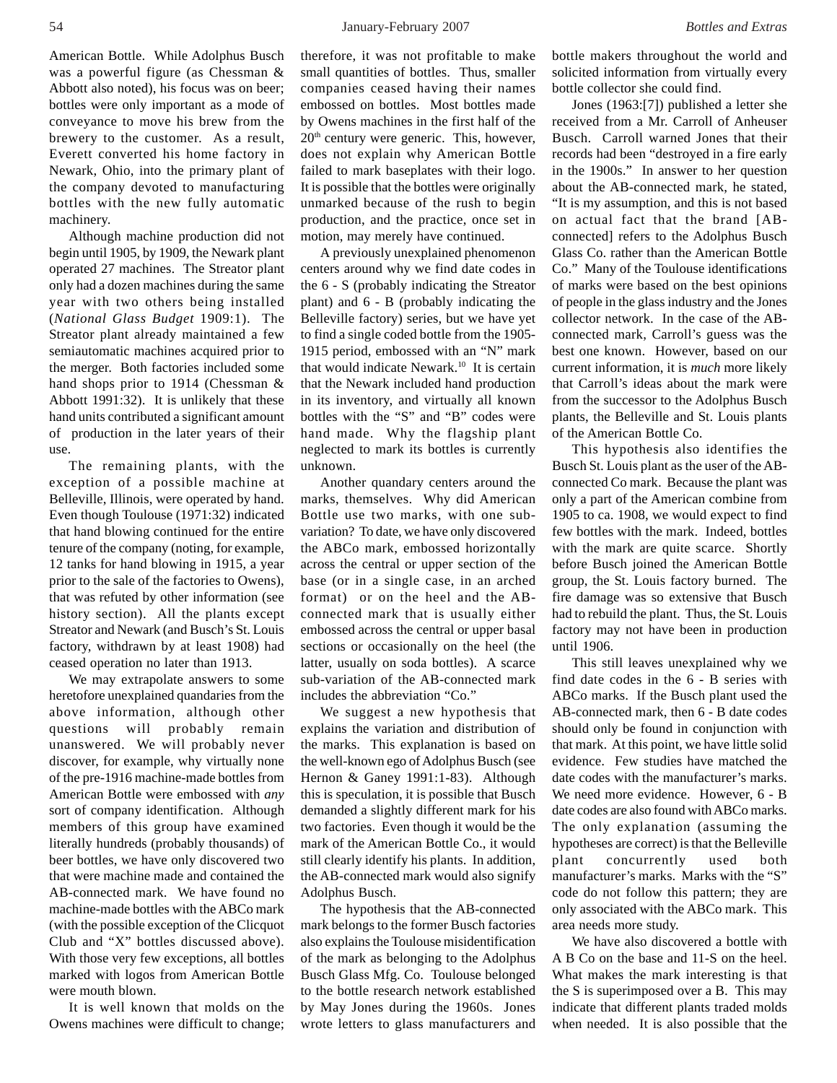#### 54 January-February 2007 *Bottles and Extras*

American Bottle. While Adolphus Busch was a powerful figure (as Chessman & Abbott also noted), his focus was on beer; bottles were only important as a mode of conveyance to move his brew from the brewery to the customer. As a result, Everett converted his home factory in Newark, Ohio, into the primary plant of the company devoted to manufacturing bottles with the new fully automatic machinery.

Although machine production did not begin until 1905, by 1909, the Newark plant operated 27 machines. The Streator plant only had a dozen machines during the same year with two others being installed (*National Glass Budget* 1909:1). The Streator plant already maintained a few semiautomatic machines acquired prior to the merger. Both factories included some hand shops prior to 1914 (Chessman & Abbott 1991:32). It is unlikely that these hand units contributed a significant amount of production in the later years of their use.

The remaining plants, with the exception of a possible machine at Belleville, Illinois, were operated by hand. Even though Toulouse (1971:32) indicated that hand blowing continued for the entire tenure of the company (noting, for example, 12 tanks for hand blowing in 1915, a year prior to the sale of the factories to Owens), that was refuted by other information (see history section). All the plants except Streator and Newark (and Busch's St. Louis factory, withdrawn by at least 1908) had ceased operation no later than 1913.

We may extrapolate answers to some heretofore unexplained quandaries from the above information, although other questions will probably remain unanswered. We will probably never discover, for example, why virtually none of the pre-1916 machine-made bottles from American Bottle were embossed with *any* sort of company identification. Although members of this group have examined literally hundreds (probably thousands) of beer bottles, we have only discovered two that were machine made and contained the AB-connected mark. We have found no machine-made bottles with the ABCo mark (with the possible exception of the Clicquot Club and "X" bottles discussed above). With those very few exceptions, all bottles marked with logos from American Bottle were mouth blown.

It is well known that molds on the Owens machines were difficult to change; therefore, it was not profitable to make small quantities of bottles. Thus, smaller companies ceased having their names embossed on bottles. Most bottles made by Owens machines in the first half of the  $20<sup>th</sup>$  century were generic. This, however, does not explain why American Bottle failed to mark baseplates with their logo. It is possible that the bottles were originally unmarked because of the rush to begin production, and the practice, once set in motion, may merely have continued.

A previously unexplained phenomenon centers around why we find date codes in the 6 - S (probably indicating the Streator plant) and 6 - B (probably indicating the Belleville factory) series, but we have yet to find a single coded bottle from the 1905- 1915 period, embossed with an "N" mark that would indicate Newark.<sup>10</sup> It is certain that the Newark included hand production in its inventory, and virtually all known bottles with the "S" and "B" codes were hand made. Why the flagship plant neglected to mark its bottles is currently unknown.

Another quandary centers around the marks, themselves. Why did American Bottle use two marks, with one subvariation? To date, we have only discovered the ABCo mark, embossed horizontally across the central or upper section of the base (or in a single case, in an arched format) or on the heel and the ABconnected mark that is usually either embossed across the central or upper basal sections or occasionally on the heel (the latter, usually on soda bottles). A scarce sub-variation of the AB-connected mark includes the abbreviation "Co."

We suggest a new hypothesis that explains the variation and distribution of the marks. This explanation is based on the well-known ego of Adolphus Busch (see Hernon & Ganey 1991:1-83). Although this is speculation, it is possible that Busch demanded a slightly different mark for his two factories. Even though it would be the mark of the American Bottle Co., it would still clearly identify his plants. In addition, the AB-connected mark would also signify Adolphus Busch.

The hypothesis that the AB-connected mark belongs to the former Busch factories also explains the Toulouse misidentification of the mark as belonging to the Adolphus Busch Glass Mfg. Co. Toulouse belonged to the bottle research network established by May Jones during the 1960s. Jones wrote letters to glass manufacturers and

bottle makers throughout the world and solicited information from virtually every bottle collector she could find.

Jones (1963:[7]) published a letter she received from a Mr. Carroll of Anheuser Busch. Carroll warned Jones that their records had been "destroyed in a fire early in the 1900s." In answer to her question about the AB-connected mark, he stated, "It is my assumption, and this is not based on actual fact that the brand [ABconnected] refers to the Adolphus Busch Glass Co. rather than the American Bottle Co." Many of the Toulouse identifications of marks were based on the best opinions of people in the glass industry and the Jones collector network. In the case of the ABconnected mark, Carroll's guess was the best one known. However, based on our current information, it is *much* more likely that Carroll's ideas about the mark were from the successor to the Adolphus Busch plants, the Belleville and St. Louis plants of the American Bottle Co.

This hypothesis also identifies the Busch St. Louis plant as the user of the ABconnected Co mark. Because the plant was only a part of the American combine from 1905 to ca. 1908, we would expect to find few bottles with the mark. Indeed, bottles with the mark are quite scarce. Shortly before Busch joined the American Bottle group, the St. Louis factory burned. The fire damage was so extensive that Busch had to rebuild the plant. Thus, the St. Louis factory may not have been in production until 1906.

This still leaves unexplained why we find date codes in the 6 - B series with ABCo marks. If the Busch plant used the AB-connected mark, then 6 - B date codes should only be found in conjunction with that mark. At this point, we have little solid evidence. Few studies have matched the date codes with the manufacturer's marks. We need more evidence. However, 6 - B date codes are also found with ABCo marks. The only explanation (assuming the hypotheses are correct) is that the Belleville plant concurrently used both manufacturer's marks. Marks with the "S" code do not follow this pattern; they are only associated with the ABCo mark. This area needs more study.

We have also discovered a bottle with A B Co on the base and 11-S on the heel. What makes the mark interesting is that the S is superimposed over a B. This may indicate that different plants traded molds when needed. It is also possible that the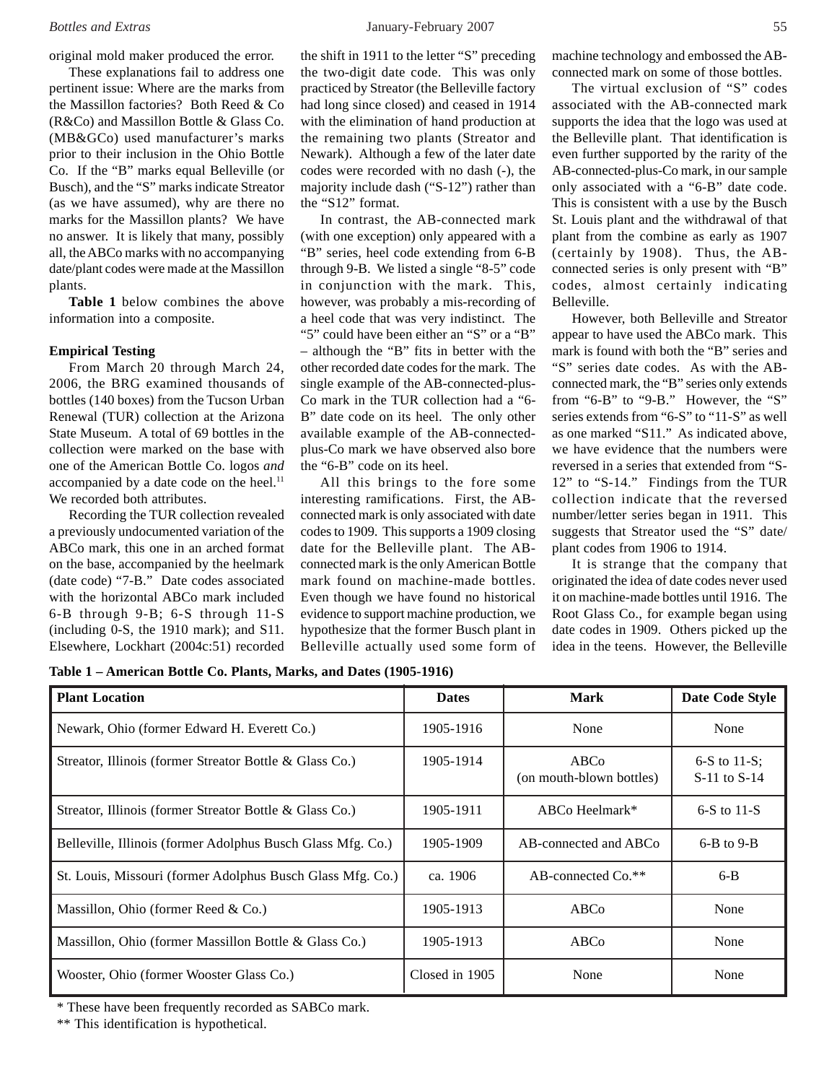original mold maker produced the error.

These explanations fail to address one pertinent issue: Where are the marks from the Massillon factories? Both Reed & Co (R&Co) and Massillon Bottle & Glass Co. (MB&GCo) used manufacturer's marks prior to their inclusion in the Ohio Bottle Co. If the "B" marks equal Belleville (or Busch), and the "S" marks indicate Streator (as we have assumed), why are there no marks for the Massillon plants? We have no answer. It is likely that many, possibly all, the ABCo marks with no accompanying date/plant codes were made at the Massillon plants.

**Table 1** below combines the above information into a composite.

# **Empirical Testing**

From March 20 through March 24, 2006, the BRG examined thousands of bottles (140 boxes) from the Tucson Urban Renewal (TUR) collection at the Arizona State Museum. A total of 69 bottles in the collection were marked on the base with one of the American Bottle Co. logos *and* accompanied by a date code on the heel.<sup>11</sup> We recorded both attributes.

Recording the TUR collection revealed a previously undocumented variation of the ABCo mark, this one in an arched format on the base, accompanied by the heelmark (date code) "7-B." Date codes associated with the horizontal ABCo mark included 6-B through 9-B; 6-S through 11-S (including 0-S, the 1910 mark); and S11. Elsewhere, Lockhart (2004c:51) recorded

the shift in 1911 to the letter "S" preceding the two-digit date code. This was only practiced by Streator (the Belleville factory had long since closed) and ceased in 1914 with the elimination of hand production at the remaining two plants (Streator and Newark). Although a few of the later date codes were recorded with no dash (-), the majority include dash ("S-12") rather than the "S12" format.

In contrast, the AB-connected mark (with one exception) only appeared with a "B" series, heel code extending from 6-B through 9-B. We listed a single "8-5" code in conjunction with the mark. This, however, was probably a mis-recording of a heel code that was very indistinct. The "5" could have been either an "S" or a "B" – although the "B" fits in better with the other recorded date codes for the mark. The single example of the AB-connected-plus-Co mark in the TUR collection had a "6- B" date code on its heel. The only other available example of the AB-connectedplus-Co mark we have observed also bore the "6-B" code on its heel.

All this brings to the fore some interesting ramifications. First, the ABconnected mark is only associated with date codes to 1909. This supports a 1909 closing date for the Belleville plant. The ABconnected mark is the only American Bottle mark found on machine-made bottles. Even though we have found no historical evidence to support machine production, we hypothesize that the former Busch plant in Belleville actually used some form of machine technology and embossed the ABconnected mark on some of those bottles.

The virtual exclusion of "S" codes associated with the AB-connected mark supports the idea that the logo was used at the Belleville plant. That identification is even further supported by the rarity of the AB-connected-plus-Co mark, in our sample only associated with a "6-B" date code. This is consistent with a use by the Busch St. Louis plant and the withdrawal of that plant from the combine as early as 1907 (certainly by 1908). Thus, the ABconnected series is only present with "B" codes, almost certainly indicating Belleville.

However, both Belleville and Streator appear to have used the ABCo mark. This mark is found with both the "B" series and "S" series date codes. As with the ABconnected mark, the "B" series only extends from "6-B" to "9-B." However, the "S" series extends from "6-S" to "11-S" as well as one marked "S11." As indicated above, we have evidence that the numbers were reversed in a series that extended from "S-12" to "S-14." Findings from the TUR collection indicate that the reversed number/letter series began in 1911. This suggests that Streator used the "S" date/ plant codes from 1906 to 1914.

It is strange that the company that originated the idea of date codes never used it on machine-made bottles until 1916. The Root Glass Co., for example began using date codes in 1909. Others picked up the idea in the teens. However, the Belleville

**Table 1 – American Bottle Co. Plants, Marks, and Dates (1905-1916)**

| <b>Plant Location</b>                                       | <b>Dates</b>   | <b>Mark</b>                                  | Date Code Style                     |
|-------------------------------------------------------------|----------------|----------------------------------------------|-------------------------------------|
| Newark, Ohio (former Edward H. Everett Co.)                 | 1905-1916      | None                                         | None                                |
| Streator, Illinois (former Streator Bottle & Glass Co.)     | 1905-1914      | ABC <sub>0</sub><br>(on mouth-blown bottles) | 6-S to $11-S$ ;<br>$S-11$ to $S-14$ |
| Streator, Illinois (former Streator Bottle & Glass Co.)     | 1905-1911      | ABCo Heelmark $*$                            | $6-S$ to 11-S                       |
| Belleville, Illinois (former Adolphus Busch Glass Mfg. Co.) | 1905-1909      | AB-connected and ABCo                        | $6-B$ to $9-B$                      |
| St. Louis, Missouri (former Adolphus Busch Glass Mfg. Co.)  | ca. 1906       | AB-connected $Co.**$                         | $6-B$                               |
| Massillon, Ohio (former Reed $& Co.$ )                      | 1905-1913      | ABC <sub>0</sub>                             | None                                |
| Massillon, Ohio (former Massillon Bottle & Glass Co.)       | 1905-1913      | ABCo                                         | None                                |
| Wooster, Ohio (former Wooster Glass Co.)                    | Closed in 1905 | None                                         | None                                |

\* These have been frequently recorded as SABCo mark.

\*\* This identification is hypothetical.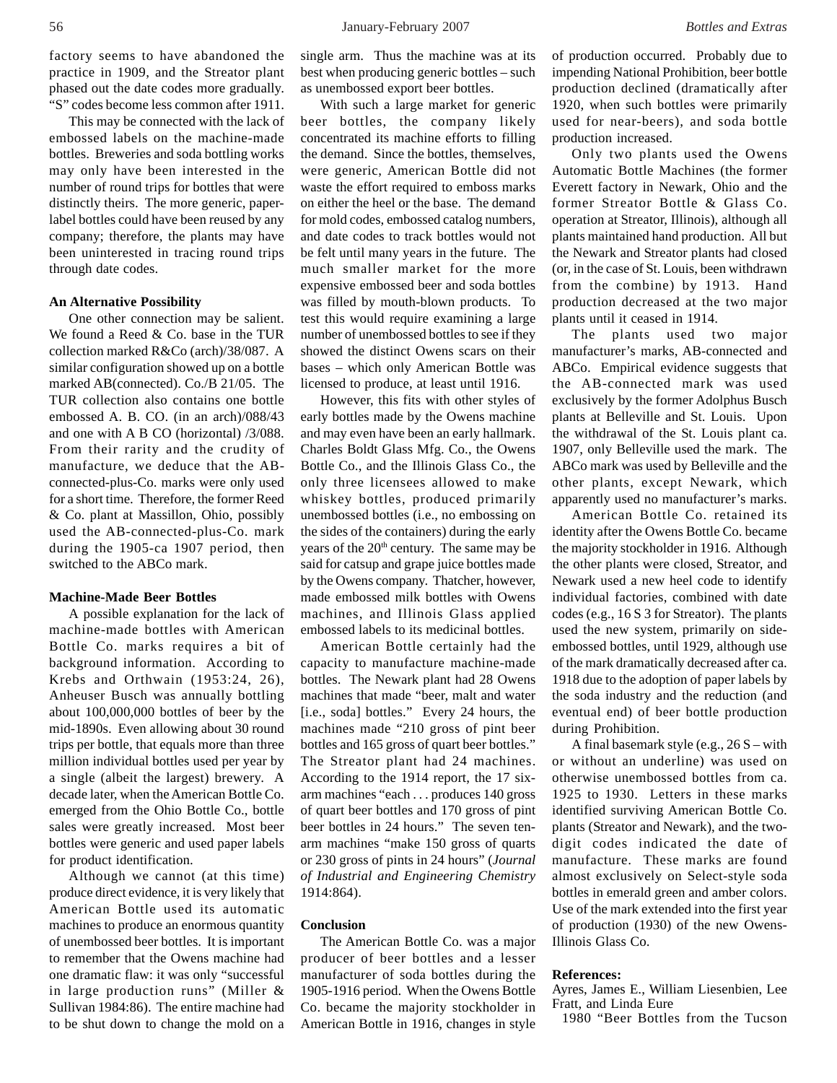factory seems to have abandoned the practice in 1909, and the Streator plant phased out the date codes more gradually. "S" codes become less common after 1911.

This may be connected with the lack of embossed labels on the machine-made bottles. Breweries and soda bottling works may only have been interested in the number of round trips for bottles that were distinctly theirs. The more generic, paperlabel bottles could have been reused by any company; therefore, the plants may have been uninterested in tracing round trips through date codes.

# **An Alternative Possibility**

One other connection may be salient. We found a Reed & Co. base in the TUR collection marked R&Co (arch)/38/087. A similar configuration showed up on a bottle marked AB(connected). Co./B 21/05. The TUR collection also contains one bottle embossed A. B. CO. (in an arch)/088/43 and one with A B CO (horizontal) /3/088. From their rarity and the crudity of manufacture, we deduce that the ABconnected-plus-Co. marks were only used for a short time. Therefore, the former Reed & Co. plant at Massillon, Ohio, possibly used the AB-connected-plus-Co. mark during the 1905-ca 1907 period, then switched to the ABCo mark.

# **Machine-Made Beer Bottles**

A possible explanation for the lack of machine-made bottles with American Bottle Co. marks requires a bit of background information. According to Krebs and Orthwain (1953:24, 26), Anheuser Busch was annually bottling about 100,000,000 bottles of beer by the mid-1890s. Even allowing about 30 round trips per bottle, that equals more than three million individual bottles used per year by a single (albeit the largest) brewery. A decade later, when the American Bottle Co. emerged from the Ohio Bottle Co., bottle sales were greatly increased. Most beer bottles were generic and used paper labels for product identification.

Although we cannot (at this time) produce direct evidence, it is very likely that American Bottle used its automatic machines to produce an enormous quantity of unembossed beer bottles. It is important to remember that the Owens machine had one dramatic flaw: it was only "successful in large production runs" (Miller & Sullivan 1984:86). The entire machine had to be shut down to change the mold on a single arm. Thus the machine was at its best when producing generic bottles – such as unembossed export beer bottles.

With such a large market for generic beer bottles, the company likely concentrated its machine efforts to filling the demand. Since the bottles, themselves, were generic, American Bottle did not waste the effort required to emboss marks on either the heel or the base. The demand for mold codes, embossed catalog numbers, and date codes to track bottles would not be felt until many years in the future. The much smaller market for the more expensive embossed beer and soda bottles was filled by mouth-blown products. To test this would require examining a large number of unembossed bottles to see if they showed the distinct Owens scars on their bases – which only American Bottle was licensed to produce, at least until 1916.

However, this fits with other styles of early bottles made by the Owens machine and may even have been an early hallmark. Charles Boldt Glass Mfg. Co., the Owens Bottle Co., and the Illinois Glass Co., the only three licensees allowed to make whiskey bottles, produced primarily unembossed bottles (i.e., no embossing on the sides of the containers) during the early years of the 20<sup>th</sup> century. The same may be said for catsup and grape juice bottles made by the Owens company. Thatcher, however, made embossed milk bottles with Owens machines, and Illinois Glass applied embossed labels to its medicinal bottles.

American Bottle certainly had the capacity to manufacture machine-made bottles. The Newark plant had 28 Owens machines that made "beer, malt and water [i.e., soda] bottles." Every 24 hours, the machines made "210 gross of pint beer bottles and 165 gross of quart beer bottles." The Streator plant had 24 machines. According to the 1914 report, the 17 sixarm machines "each . . . produces 140 gross of quart beer bottles and 170 gross of pint beer bottles in 24 hours." The seven tenarm machines "make 150 gross of quarts or 230 gross of pints in 24 hours" (*Journal of Industrial and Engineering Chemistry* 1914:864).

## **Conclusion**

The American Bottle Co. was a major producer of beer bottles and a lesser manufacturer of soda bottles during the 1905-1916 period. When the Owens Bottle Co. became the majority stockholder in American Bottle in 1916, changes in style

of production occurred. Probably due to impending National Prohibition, beer bottle production declined (dramatically after 1920, when such bottles were primarily used for near-beers), and soda bottle production increased.

Only two plants used the Owens Automatic Bottle Machines (the former Everett factory in Newark, Ohio and the former Streator Bottle & Glass Co. operation at Streator, Illinois), although all plants maintained hand production. All but the Newark and Streator plants had closed (or, in the case of St. Louis, been withdrawn from the combine) by 1913. Hand production decreased at the two major plants until it ceased in 1914.

The plants used two major manufacturer's marks, AB-connected and ABCo. Empirical evidence suggests that the AB-connected mark was used exclusively by the former Adolphus Busch plants at Belleville and St. Louis. Upon the withdrawal of the St. Louis plant ca. 1907, only Belleville used the mark. The ABCo mark was used by Belleville and the other plants, except Newark, which apparently used no manufacturer's marks.

American Bottle Co. retained its identity after the Owens Bottle Co. became the majority stockholder in 1916. Although the other plants were closed, Streator, and Newark used a new heel code to identify individual factories, combined with date codes (e.g., 16 S 3 for Streator). The plants used the new system, primarily on sideembossed bottles, until 1929, although use of the mark dramatically decreased after ca. 1918 due to the adoption of paper labels by the soda industry and the reduction (and eventual end) of beer bottle production during Prohibition.

A final basemark style (e.g., 26 S – with or without an underline) was used on otherwise unembossed bottles from ca. 1925 to 1930. Letters in these marks identified surviving American Bottle Co. plants (Streator and Newark), and the twodigit codes indicated the date of manufacture. These marks are found almost exclusively on Select-style soda bottles in emerald green and amber colors. Use of the mark extended into the first year of production (1930) of the new Owens-Illinois Glass Co.

#### **References:**

Ayres, James E., William Liesenbien, Lee Fratt, and Linda Eure

1980 "Beer Bottles from the Tucson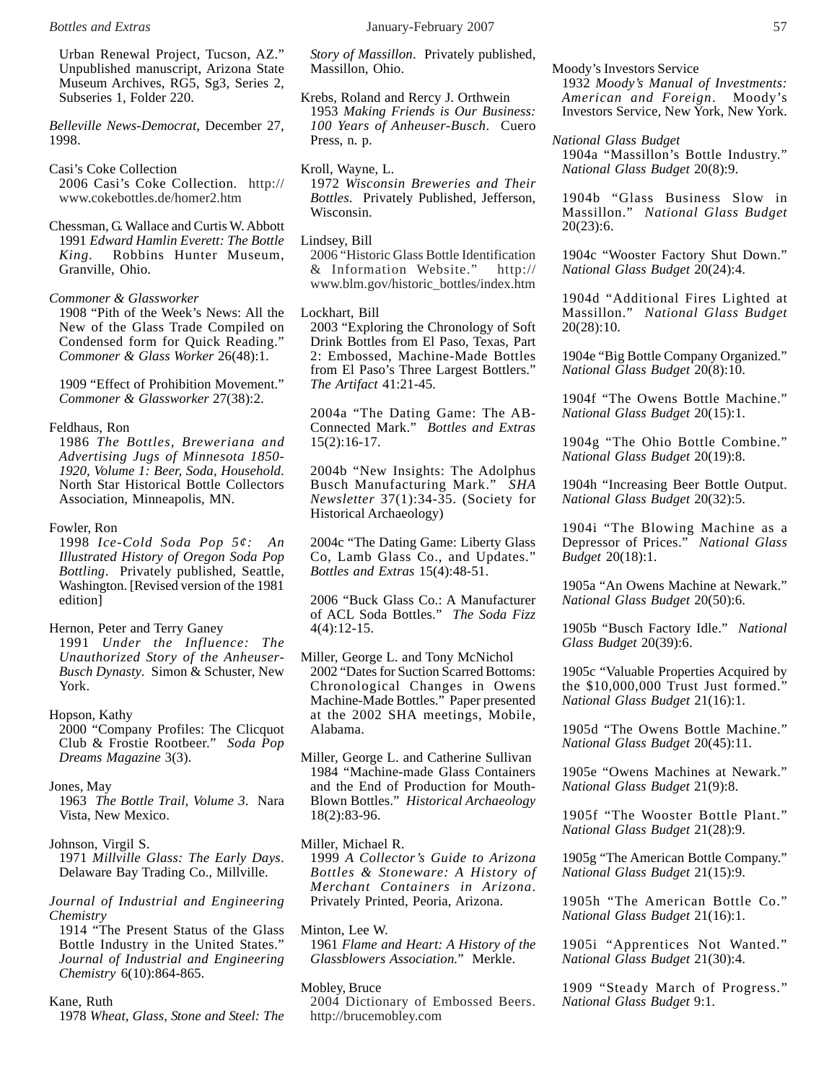Urban Renewal Project, Tucson, AZ." Unpublished manuscript, Arizona State Museum Archives, RG5, Sg3, Series 2, Subseries 1, Folder 220.

*Belleville News-Democrat*, December 27, 1998.

Casi's Coke Collection 2006 Casi's Coke Collection. http:// www.cokebottles.de/homer2.htm

Chessman, G. Wallace and Curtis W. Abbott 1991 *Edward Hamlin Everett: The Bottle King.* Robbins Hunter Museum, Granville, Ohio.

#### *Commoner & Glassworker*

1908 "Pith of the Week's News: All the New of the Glass Trade Compiled on Condensed form for Quick Reading." *Commoner & Glass Worker* 26(48):1.

1909 "Effect of Prohibition Movement." *Commoner & Glassworker* 27(38):2.

# Feldhaus, Ron

1986 *The Bottles, Breweriana and Advertising Jugs of Minnesota 1850- 1920, Volume 1: Beer, Soda, Household*. North Star Historical Bottle Collectors Association, Minneapolis, MN.

# Fowler, Ron

1998 *Ice-Cold Soda Pop 5¢: An Illustrated History of Oregon Soda Pop Bottling*. Privately published, Seattle, Washington. [Revised version of the 1981 edition]

#### Hernon, Peter and Terry Ganey

1991 *Under the Influence: The Unauthorized Story of the Anheuser-Busch Dynasty*. Simon & Schuster, New York.

# Hopson, Kathy

2000 "Company Profiles: The Clicquot Club & Frostie Rootbeer." *Soda Pop Dreams Magazine* 3(3).

#### Jones, May

1963 *The Bottle Trail, Volume 3*. Nara Vista, New Mexico.

# Johnson, Virgil S.

1971 *Millville Glass: The Early Days*. Delaware Bay Trading Co., Millville.

*Journal of Industrial and Engineering Chemistry*

1914 "The Present Status of the Glass Bottle Industry in the United States." *Journal of Industrial and Engineering Chemistry* 6(10):864-865.

#### Kane, Ruth

1978 *Wheat, Glass, Stone and Steel: The*

*Story of Massillon*. Privately published, Massillon, Ohio.

- Krebs, Roland and Rercy J. Orthwein 1953 *Making Friends is Our Business: 100 Years of Anheuser-Busch*. Cuero Press, n. p.
- Kroll, Wayne, L. 1972 *Wisconsin Breweries and Their Bottles*. Privately Published, Jefferson, Wisconsin.

#### Lindsey, Bill

2006 "Historic Glass Bottle Identification & Information Website." http:// www.blm.gov/historic\_bottles/index.htm

Lockhart, Bill

2003 "Exploring the Chronology of Soft Drink Bottles from El Paso, Texas, Part 2: Embossed, Machine-Made Bottles from El Paso's Three Largest Bottlers." *The Artifact* 41:21-45.

2004a "The Dating Game: The AB-Connected Mark." *Bottles and Extras* 15(2):16-17.

2004b "New Insights: The Adolphus Busch Manufacturing Mark." *SHA Newsletter* 37(1):34-35. (Society for Historical Archaeology)

2004c "The Dating Game: Liberty Glass Co, Lamb Glass Co., and Updates." *Bottles and Extras* 15(4):48-51.

2006 "Buck Glass Co.: A Manufacturer of ACL Soda Bottles." *The Soda Fizz* 4(4):12-15.

- Miller, George L. and Tony McNichol 2002 "Dates for Suction Scarred Bottoms: Chronological Changes in Owens Machine-Made Bottles." Paper presented at the 2002 SHA meetings, Mobile, Alabama.
- Miller, George L. and Catherine Sullivan 1984 "Machine-made Glass Containers and the End of Production for Mouth-Blown Bottles." *Historical Archaeology* 18(2):83-96.

# Miller, Michael R.

1999 *A Collector's Guide to Arizona Bottles & Stoneware: A History of Merchant Containers in Arizona*. Privately Printed, Peoria, Arizona.

Minton, Lee W. 1961 *Flame and Heart: A History of the Glassblowers Association.*" Merkle.

Mobley, Bruce

2004 Dictionary of Embossed Beers. http://brucemobley.com

Moody's Investors Service 1932 *Moody's Manual of Investments:*

*American and Foreign*. Moody's Investors Service, New York, New York.

*National Glass Budget* 1904a "Massillon's Bottle Industry." *National Glass Budget* 20(8):9.

1904b "Glass Business Slow in Massillon." *National Glass Budget* 20(23):6.

1904c "Wooster Factory Shut Down." *National Glass Budget* 20(24):4.

1904d "Additional Fires Lighted at Massillon." *National Glass Budget* 20(28):10.

1904e "Big Bottle Company Organized." *National Glass Budget* 20(8):10.

1904f "The Owens Bottle Machine." *National Glass Budget* 20(15):1.

1904g "The Ohio Bottle Combine." *National Glass Budget* 20(19):8.

1904h "Increasing Beer Bottle Output. *National Glass Budget* 20(32):5.

1904i "The Blowing Machine as a Depressor of Prices." *National Glass Budget* 20(18):1.

1905a "An Owens Machine at Newark." *National Glass Budget* 20(50):6.

1905b "Busch Factory Idle." *National Glass Budget* 20(39):6.

1905c "Valuable Properties Acquired by the \$10,000,000 Trust Just formed." *National Glass Budget* 21(16):1.

1905d "The Owens Bottle Machine." *National Glass Budget* 20(45):11.

1905e "Owens Machines at Newark." *National Glass Budget* 21(9):8.

1905f "The Wooster Bottle Plant." *National Glass Budget* 21(28):9.

1905g "The American Bottle Company." *National Glass Budget* 21(15):9.

1905h "The American Bottle Co." *National Glass Budget* 21(16):1.

1905i "Apprentices Not Wanted." *National Glass Budget* 21(30):4.

1909 "Steady March of Progress." *National Glass Budget* 9:1.